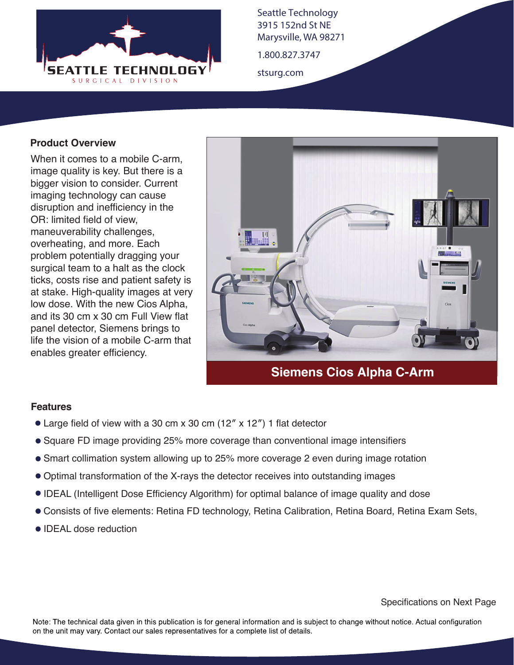

Seattle Technology 3915 152nd St NE Marysville, WA 98271

1.800.827.3747

stsurg.com

## **Product Overview**

When it comes to a mobile C-arm, image quality is key. But there is a bigger vision to consider. Current imaging technology can cause disruption and inefficiency in the OR: limited field of view, maneuverability challenges, overheating, and more. Each problem potentially dragging your surgical team to a halt as the clock ticks, costs rise and patient safety is at stake. High-quality images at very low dose. With the new Cios Alpha, and its 30 cm x 30 cm Full View flat panel detector, Siemens brings to life the vision of a mobile C-arm that enables greater efficiency.



## **Siemens Cios Alpha C-Arm**

## **Features**

- Large field of view with a 30 cm x 30 cm (12″ x 12″) 1 flat detector
- Square FD image providing 25% more coverage than conventional image intensifiers
- Smart collimation system allowing up to 25% more coverage 2 even during image rotation
- Optimal transformation of the X-rays the detector receives into outstanding images
- IDEAL (Intelligent Dose Efficiency Algorithm) for optimal balance of image quality and dose
- Consists of five elements: Retina FD technology, Retina Calibration, Retina Board, Retina Exam Sets,
- **IDEAL** dose reduction

Note: The technical data given in this publication is for general information and is subject to change without notice. Actual configuration on the unit may vary. Contact our sales representatives for a complete list of details.